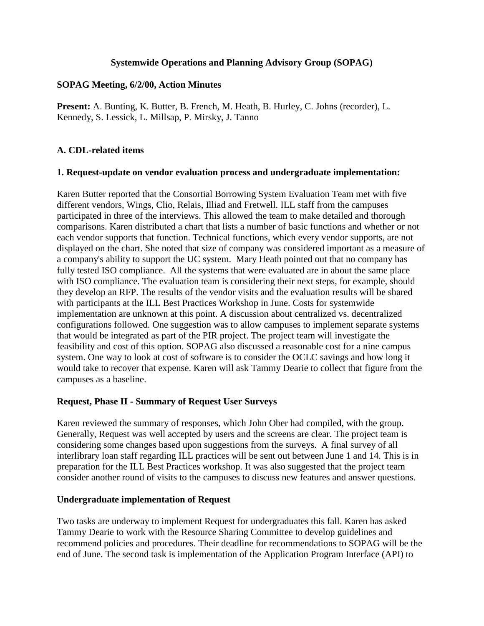#### **Systemwide Operations and Planning Advisory Group (SOPAG)**

#### **SOPAG Meeting, 6/2/00, Action Minutes**

**Present:** A. Bunting, K. Butter, B. French, M. Heath, B. Hurley, C. Johns (recorder), L. Kennedy, S. Lessick, L. Millsap, P. Mirsky, J. Tanno

#### **A. CDL-related items**

#### **1. Request-update on vendor evaluation process and undergraduate implementation:**

Karen Butter reported that the Consortial Borrowing System Evaluation Team met with five different vendors, Wings, Clio, Relais, Illiad and Fretwell. ILL staff from the campuses participated in three of the interviews. This allowed the team to make detailed and thorough comparisons. Karen distributed a chart that lists a number of basic functions and whether or not each vendor supports that function. Technical functions, which every vendor supports, are not displayed on the chart. She noted that size of company was considered important as a measure of a company's ability to support the UC system. Mary Heath pointed out that no company has fully tested ISO compliance. All the systems that were evaluated are in about the same place with ISO compliance. The evaluation team is considering their next steps, for example, should they develop an RFP. The results of the vendor visits and the evaluation results will be shared with participants at the ILL Best Practices Workshop in June. Costs for systemwide implementation are unknown at this point. A discussion about centralized vs. decentralized configurations followed. One suggestion was to allow campuses to implement separate systems that would be integrated as part of the PIR project. The project team will investigate the feasibility and cost of this option. SOPAG also discussed a reasonable cost for a nine campus system. One way to look at cost of software is to consider the OCLC savings and how long it would take to recover that expense. Karen will ask Tammy Dearie to collect that figure from the campuses as a baseline.

#### **Request, Phase II - Summary of Request User Surveys**

Karen reviewed the summary of responses, which John Ober had compiled, with the group. Generally, Request was well accepted by users and the screens are clear. The project team is considering some changes based upon suggestions from the surveys. A final survey of all interlibrary loan staff regarding ILL practices will be sent out between June 1 and 14. This is in preparation for the ILL Best Practices workshop. It was also suggested that the project team consider another round of visits to the campuses to discuss new features and answer questions.

#### **Undergraduate implementation of Request**

Two tasks are underway to implement Request for undergraduates this fall. Karen has asked Tammy Dearie to work with the Resource Sharing Committee to develop guidelines and recommend policies and procedures. Their deadline for recommendations to SOPAG will be the end of June. The second task is implementation of the Application Program Interface (API) to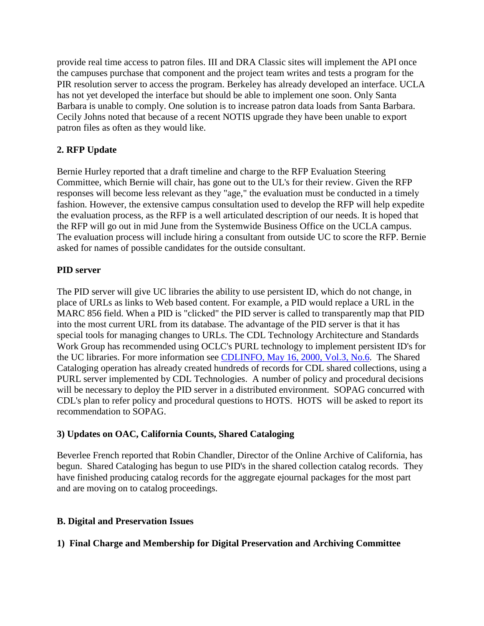provide real time access to patron files. III and DRA Classic sites will implement the API once the campuses purchase that component and the project team writes and tests a program for the PIR resolution server to access the program. Berkeley has already developed an interface. UCLA has not yet developed the interface but should be able to implement one soon. Only Santa Barbara is unable to comply. One solution is to increase patron data loads from Santa Barbara. Cecily Johns noted that because of a recent NOTIS upgrade they have been unable to export patron files as often as they would like.

# **2. RFP Update**

Bernie Hurley reported that a draft timeline and charge to the RFP Evaluation Steering Committee, which Bernie will chair, has gone out to the UL's for their review. Given the RFP responses will become less relevant as they "age," the evaluation must be conducted in a timely fashion. However, the extensive campus consultation used to develop the RFP will help expedite the evaluation process, as the RFP is a well articulated description of our needs. It is hoped that the RFP will go out in mid June from the Systemwide Business Office on the UCLA campus. The evaluation process will include hiring a consultant from outside UC to score the RFP. Bernie asked for names of possible candidates for the outside consultant.

## **PID server**

The PID server will give UC libraries the ability to use persistent ID, which do not change, in place of URLs as links to Web based content. For example, a PID would replace a URL in the MARC 856 field. When a PID is "clicked" the PID server is called to transparently map that PID into the most current URL from its database. The advantage of the PID server is that it has special tools for managing changes to URLs. The CDL Technology Architecture and Standards Work Group has recommended using OCLC's PURL technology to implement persistent ID's for the UC libraries. For more information see [CDLINFO, May 16, 2000, Vol.3, No.6.](http://www.cdlib.org/news/cdlinfo/cdlinfo051600.html) The Shared Cataloging operation has already created hundreds of records for CDL shared collections, using a PURL server implemented by CDL Technologies. A number of policy and procedural decisions will be necessary to deploy the PID server in a distributed environment. SOPAG concurred with CDL's plan to refer policy and procedural questions to HOTS. HOTS will be asked to report its recommendation to SOPAG.

### **3) Updates on OAC, California Counts, Shared Cataloging**

Beverlee French reported that Robin Chandler, Director of the Online Archive of California, has begun. Shared Cataloging has begun to use PID's in the shared collection catalog records. They have finished producing catalog records for the aggregate ejournal packages for the most part and are moving on to catalog proceedings.

### **B. Digital and Preservation Issues**

## **1) Final Charge and Membership for Digital Preservation and Archiving Committee**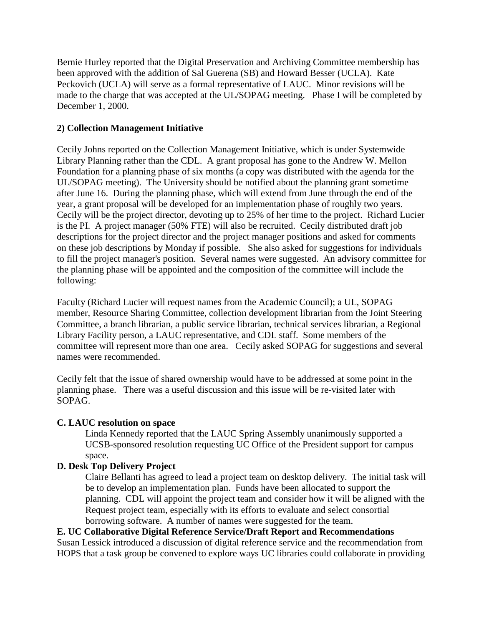Bernie Hurley reported that the Digital Preservation and Archiving Committee membership has been approved with the addition of Sal Guerena (SB) and Howard Besser (UCLA). Kate Peckovich (UCLA) will serve as a formal representative of LAUC. Minor revisions will be made to the charge that was accepted at the UL/SOPAG meeting. Phase I will be completed by December 1, 2000.

## **2) Collection Management Initiative**

Cecily Johns reported on the Collection Management Initiative, which is under Systemwide Library Planning rather than the CDL. A grant proposal has gone to the Andrew W. Mellon Foundation for a planning phase of six months (a copy was distributed with the agenda for the UL/SOPAG meeting). The University should be notified about the planning grant sometime after June 16. During the planning phase, which will extend from June through the end of the year, a grant proposal will be developed for an implementation phase of roughly two years. Cecily will be the project director, devoting up to 25% of her time to the project. Richard Lucier is the PI. A project manager (50% FTE) will also be recruited. Cecily distributed draft job descriptions for the project director and the project manager positions and asked for comments on these job descriptions by Monday if possible. She also asked for suggestions for individuals to fill the project manager's position. Several names were suggested. An advisory committee for the planning phase will be appointed and the composition of the committee will include the following:

Faculty (Richard Lucier will request names from the Academic Council); a UL, SOPAG member, Resource Sharing Committee, collection development librarian from the Joint Steering Committee, a branch librarian, a public service librarian, technical services librarian, a Regional Library Facility person, a LAUC representative, and CDL staff. Some members of the committee will represent more than one area. Cecily asked SOPAG for suggestions and several names were recommended.

Cecily felt that the issue of shared ownership would have to be addressed at some point in the planning phase. There was a useful discussion and this issue will be re-visited later with SOPAG.

### **C. LAUC resolution on space**

Linda Kennedy reported that the LAUC Spring Assembly unanimously supported a UCSB-sponsored resolution requesting UC Office of the President support for campus space.

## **D. Desk Top Delivery Project**

Claire Bellanti has agreed to lead a project team on desktop delivery. The initial task will be to develop an implementation plan. Funds have been allocated to support the planning. CDL will appoint the project team and consider how it will be aligned with the Request project team, especially with its efforts to evaluate and select consortial borrowing software. A number of names were suggested for the team.

**E. UC Collaborative Digital Reference Service/Draft Report and Recommendations** Susan Lessick introduced a discussion of digital reference service and the recommendation from HOPS that a task group be convened to explore ways UC libraries could collaborate in providing